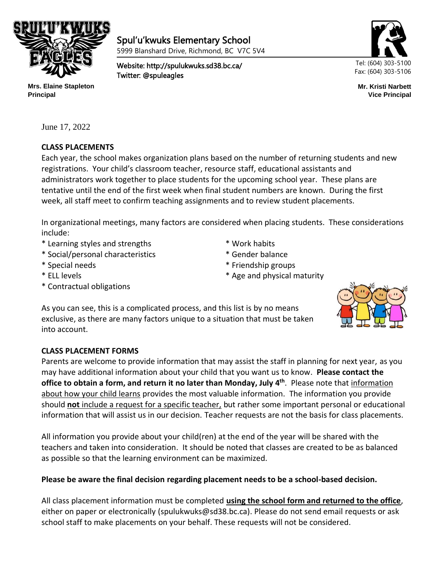

٦

Spul'u'kwuks Elementary School 5999 Blanshard Drive, Richmond, BC V7C 5V4

Website: http://spulukwuks.sd38.bc.ca/ Twitter: @spuleagles



**Mr. Kristi Narbett Vice Principal**

**Mrs. Elaine Stapleton Principal**

June 17, 2022

# **CLASS PLACEMENTS**

Each year, the school makes organization plans based on the number of returning students and new registrations. Your child's classroom teacher, resource staff, educational assistants and administrators work together to place students for the upcoming school year. These plans are tentative until the end of the first week when final student numbers are known. During the first week, all staff meet to confirm teaching assignments and to review student placements.

In organizational meetings, many factors are considered when placing students. These considerations include:

- \* Learning styles and strengths \* Work habits
- \* Social/personal characteristics \* Gender balance
- \* Special needs \* Friendship groups
- \* ELL levels **the contract of the set of the set of the set of the set of the set of the set of the set of the set of the set of the set of the set of the set of the set of the set of the set of the set of the set of the s**
- \* Contractual obligations

As you can see, this is a complicated process, and this list is by no means exclusive, as there are many factors unique to a situation that must be taken into account.

# **CLASS PLACEMENT FORMS**

Parents are welcome to provide information that may assist the staff in planning for next year, as you may have additional information about your child that you want us to know. **Please contact the office to obtain a form, and return it no later than Monday, July 4 th**. Please note that information about how your child learns provides the most valuable information. The information you provide should **not** include a request for a specific teacher, but rather some important personal or educational information that will assist us in our decision. Teacher requests are not the basis for class placements.

All information you provide about your child(ren) at the end of the year will be shared with the teachers and taken into consideration. It should be noted that classes are created to be as balanced as possible so that the learning environment can be maximized.

# **Please be aware the final decision regarding placement needs to be a school-based decision.**

All class placement information must be completed **using the school form and returned to the office**, either on paper or electronically (spulukwuks@sd38.bc.ca). Please do not send email requests or ask school staff to make placements on your behalf. These requests will not be considered.